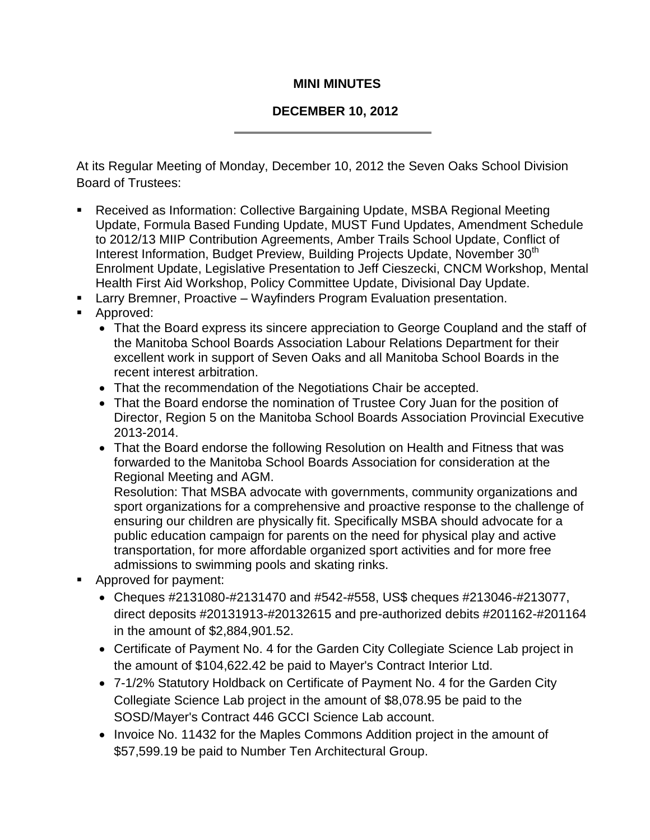## **MINI MINUTES**

## **DECEMBER 10, 2012**

At its Regular Meeting of Monday, December 10, 2012 the Seven Oaks School Division Board of Trustees:

- Received as Information: Collective Bargaining Update, MSBA Regional Meeting Update, Formula Based Funding Update, MUST Fund Updates, Amendment Schedule to 2012/13 MIIP Contribution Agreements, Amber Trails School Update, Conflict of Interest Information, Budget Preview, Building Projects Update, November 30<sup>th</sup> Enrolment Update, Legislative Presentation to Jeff Cieszecki, CNCM Workshop, Mental Health First Aid Workshop, Policy Committee Update, Divisional Day Update.
- **EXECT** Larry Bremner, Proactive Wayfinders Program Evaluation presentation.
- **Approved:** 
	- That the Board express its sincere appreciation to George Coupland and the staff of the Manitoba School Boards Association Labour Relations Department for their excellent work in support of Seven Oaks and all Manitoba School Boards in the recent interest arbitration.
	- That the recommendation of the Negotiations Chair be accepted.
	- That the Board endorse the nomination of Trustee Cory Juan for the position of Director, Region 5 on the Manitoba School Boards Association Provincial Executive 2013-2014.
	- That the Board endorse the following Resolution on Health and Fitness that was forwarded to the Manitoba School Boards Association for consideration at the Regional Meeting and AGM.

Resolution: That MSBA advocate with governments, community organizations and sport organizations for a comprehensive and proactive response to the challenge of ensuring our children are physically fit. Specifically MSBA should advocate for a public education campaign for parents on the need for physical play and active transportation, for more affordable organized sport activities and for more free admissions to swimming pools and skating rinks.

- **Approved for payment:** 
	- Cheques #2131080-#2131470 and #542-#558, US\$ cheques #213046-#213077, direct deposits #20131913-#20132615 and pre-authorized debits #201162-#201164 in the amount of \$2,884,901.52.
	- Certificate of Payment No. 4 for the Garden City Collegiate Science Lab project in the amount of \$104,622.42 be paid to Mayer's Contract Interior Ltd.
	- 7-1/2% Statutory Holdback on Certificate of Payment No. 4 for the Garden City Collegiate Science Lab project in the amount of \$8,078.95 be paid to the SOSD/Mayer's Contract 446 GCCI Science Lab account.
	- Invoice No. 11432 for the Maples Commons Addition project in the amount of \$57,599.19 be paid to Number Ten Architectural Group.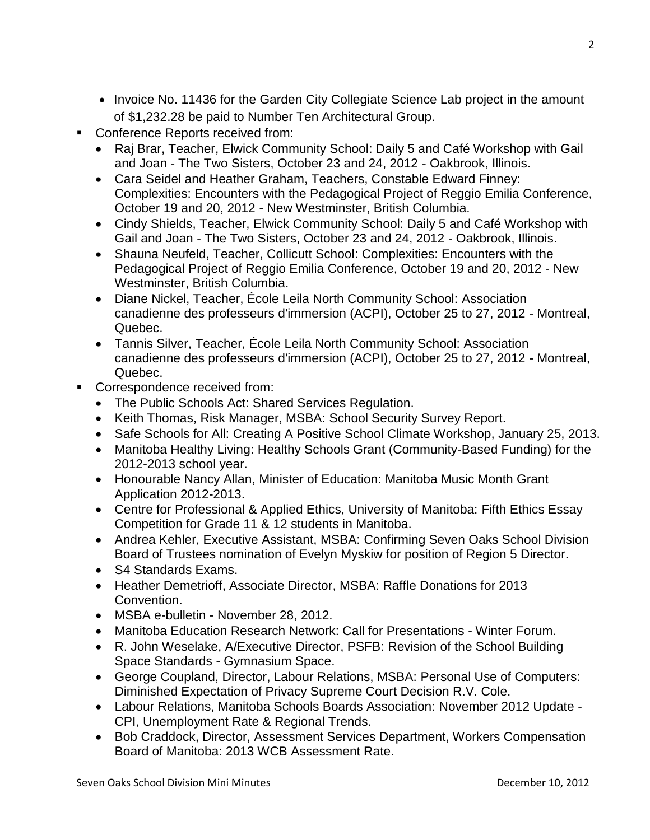- Invoice No. 11436 for the Garden City Collegiate Science Lab project in the amount of \$1,232.28 be paid to Number Ten Architectural Group.
- Conference Reports received from:
	- Raj Brar, Teacher, Elwick Community School: Daily 5 and Café Workshop with Gail and Joan - The Two Sisters, October 23 and 24, 2012 - Oakbrook, Illinois.
	- Cara Seidel and Heather Graham, Teachers, Constable Edward Finney: Complexities: Encounters with the Pedagogical Project of Reggio Emilia Conference, October 19 and 20, 2012 - New Westminster, British Columbia.
	- Cindy Shields, Teacher, Elwick Community School: Daily 5 and Café Workshop with Gail and Joan - The Two Sisters, October 23 and 24, 2012 - Oakbrook, Illinois.
	- Shauna Neufeld, Teacher, Collicutt School: Complexities: Encounters with the Pedagogical Project of Reggio Emilia Conference, October 19 and 20, 2012 - New Westminster, British Columbia.
	- Diane Nickel, Teacher, École Leila North Community School: Association canadienne des professeurs d'immersion (ACPI), October 25 to 27, 2012 - Montreal, Quebec.
	- Tannis Silver, Teacher, École Leila North Community School: Association canadienne des professeurs d'immersion (ACPI), October 25 to 27, 2012 - Montreal, Quebec.
- **Correspondence received from:** 
	- The Public Schools Act: Shared Services Regulation.
	- Keith Thomas, Risk Manager, MSBA: School Security Survey Report.
	- Safe Schools for All: Creating A Positive School Climate Workshop, January 25, 2013.
	- Manitoba Healthy Living: Healthy Schools Grant (Community-Based Funding) for the 2012-2013 school year.
	- Honourable Nancy Allan, Minister of Education: Manitoba Music Month Grant Application 2012-2013.
	- Centre for Professional & Applied Ethics, University of Manitoba: Fifth Ethics Essay Competition for Grade 11 & 12 students in Manitoba.
	- Andrea Kehler, Executive Assistant, MSBA: Confirming Seven Oaks School Division Board of Trustees nomination of Evelyn Myskiw for position of Region 5 Director.
	- S4 Standards Exams.
	- Heather Demetrioff, Associate Director, MSBA: Raffle Donations for 2013 Convention.
	- MSBA e-bulletin November 28, 2012.
	- Manitoba Education Research Network: Call for Presentations Winter Forum.
	- R. John Weselake, A/Executive Director, PSFB: Revision of the School Building Space Standards - Gymnasium Space.
	- George Coupland, Director, Labour Relations, MSBA: Personal Use of Computers: Diminished Expectation of Privacy Supreme Court Decision R.V. Cole.
	- Labour Relations, Manitoba Schools Boards Association: November 2012 Update CPI, Unemployment Rate & Regional Trends.
	- Bob Craddock, Director, Assessment Services Department, Workers Compensation Board of Manitoba: 2013 WCB Assessment Rate.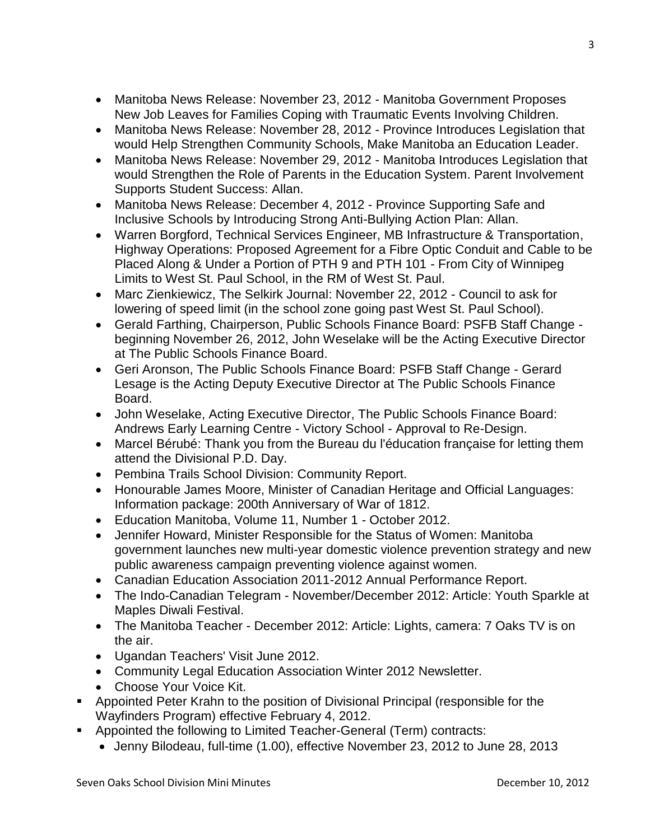- Manitoba News Release: November 23, 2012 Manitoba Government Proposes New Job Leaves for Families Coping with Traumatic Events Involving Children.
- Manitoba News Release: November 28, 2012 Province Introduces Legislation that would Help Strengthen Community Schools, Make Manitoba an Education Leader.
- Manitoba News Release: November 29, 2012 Manitoba Introduces Legislation that would Strengthen the Role of Parents in the Education System. Parent Involvement Supports Student Success: Allan.
- Manitoba News Release: December 4, 2012 Province Supporting Safe and Inclusive Schools by Introducing Strong Anti-Bullying Action Plan: Allan.
- Warren Borgford, Technical Services Engineer, MB Infrastructure & Transportation, Highway Operations: Proposed Agreement for a Fibre Optic Conduit and Cable to be Placed Along & Under a Portion of PTH 9 and PTH 101 - From City of Winnipeg Limits to West St. Paul School, in the RM of West St. Paul.
- Marc Zienkiewicz, The Selkirk Journal: November 22, 2012 Council to ask for lowering of speed limit (in the school zone going past West St. Paul School).
- Gerald Farthing, Chairperson, Public Schools Finance Board: PSFB Staff Change beginning November 26, 2012, John Weselake will be the Acting Executive Director at The Public Schools Finance Board.
- Geri Aronson, The Public Schools Finance Board: PSFB Staff Change Gerard Lesage is the Acting Deputy Executive Director at The Public Schools Finance Board.
- John Weselake, Acting Executive Director, The Public Schools Finance Board: Andrews Early Learning Centre - Victory School - Approval to Re-Design.
- Marcel Bérubé: Thank you from the Bureau du l'éducation française for letting them attend the Divisional P.D. Day.
- Pembina Trails School Division: Community Report.
- Honourable James Moore, Minister of Canadian Heritage and Official Languages: Information package: 200th Anniversary of War of 1812.
- Education Manitoba, Volume 11, Number 1 October 2012.
- Jennifer Howard, Minister Responsible for the Status of Women: Manitoba government launches new multi-year domestic violence prevention strategy and new public awareness campaign preventing violence against women.
- Canadian Education Association 2011-2012 Annual Performance Report.
- The Indo-Canadian Telegram November/December 2012: Article: Youth Sparkle at Maples Diwali Festival.
- The Manitoba Teacher December 2012: Article: Lights, camera: 7 Oaks TV is on the air.
- Ugandan Teachers' Visit June 2012.
- Community Legal Education Association Winter 2012 Newsletter.
- Choose Your Voice Kit.
- Appointed Peter Krahn to the position of Divisional Principal (responsible for the Wayfinders Program) effective February 4, 2012.
- Appointed the following to Limited Teacher-General (Term) contracts:
	- Jenny Bilodeau, full-time (1.00), effective November 23, 2012 to June 28, 2013